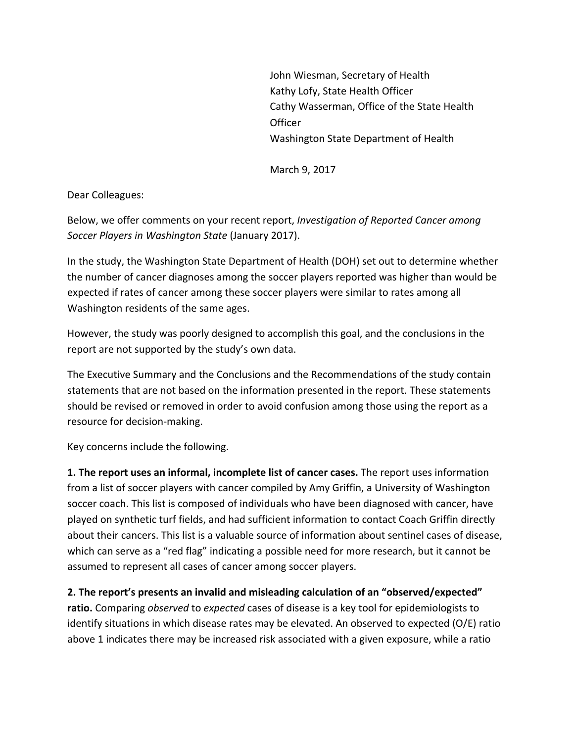John Wiesman, Secretary of Health Kathy Lofy, State Health Officer Cathy Wasserman, Office of the State Health **Officer** Washington State Department of Health

March 9, 2017

Dear Colleagues:

Below, we offer comments on your recent report, *Investigation of Reported Cancer among Soccer Players in Washington State* (January 2017). 

In the study, the Washington State Department of Health (DOH) set out to determine whether the number of cancer diagnoses among the soccer players reported was higher than would be expected if rates of cancer among these soccer players were similar to rates among all Washington residents of the same ages.

However, the study was poorly designed to accomplish this goal, and the conclusions in the report are not supported by the study's own data.

The Executive Summary and the Conclusions and the Recommendations of the study contain statements that are not based on the information presented in the report. These statements should be revised or removed in order to avoid confusion among those using the report as a resource for decision-making.

Key concerns include the following.

**1.** The report uses an informal, incomplete list of cancer cases. The report uses information from a list of soccer players with cancer compiled by Amy Griffin, a University of Washington soccer coach. This list is composed of individuals who have been diagnosed with cancer, have played on synthetic turf fields, and had sufficient information to contact Coach Griffin directly about their cancers. This list is a valuable source of information about sentinel cases of disease, which can serve as a "red flag" indicating a possible need for more research, but it cannot be assumed to represent all cases of cancer among soccer players.

2. The report's presents an invalid and misleading calculation of an "observed/expected"

**ratio.** Comparing *observed* to *expected* cases of disease is a key tool for epidemiologists to identify situations in which disease rates may be elevated. An observed to expected  $(O/E)$  ratio above 1 indicates there may be increased risk associated with a given exposure, while a ratio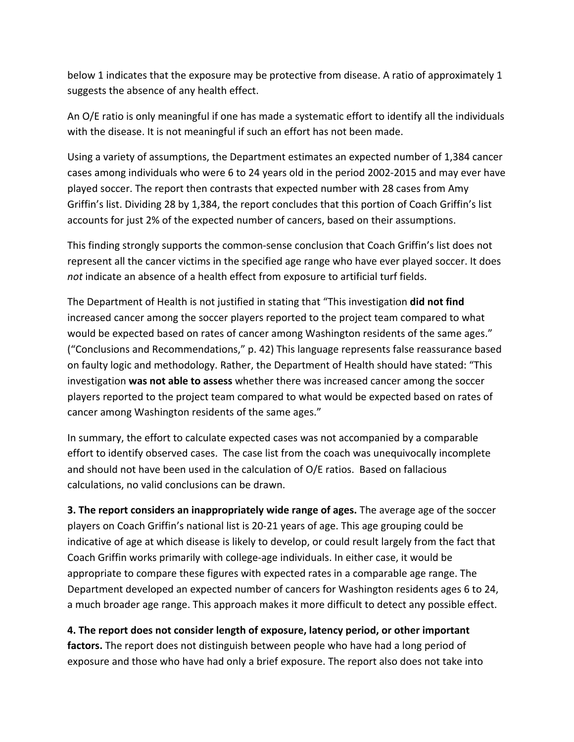below 1 indicates that the exposure may be protective from disease. A ratio of approximately 1 suggests the absence of any health effect.

An O/E ratio is only meaningful if one has made a systematic effort to identify all the individuals with the disease. It is not meaningful if such an effort has not been made.

Using a variety of assumptions, the Department estimates an expected number of 1,384 cancer cases among individuals who were 6 to 24 years old in the period 2002-2015 and may ever have played soccer. The report then contrasts that expected number with 28 cases from Amy Griffin's list. Dividing 28 by 1,384, the report concludes that this portion of Coach Griffin's list accounts for just 2% of the expected number of cancers, based on their assumptions.

This finding strongly supports the common-sense conclusion that Coach Griffin's list does not represent all the cancer victims in the specified age range who have ever played soccer. It does *not* indicate an absence of a health effect from exposure to artificial turf fields.

The Department of Health is not justified in stating that "This investigation **did not find** increased cancer among the soccer players reported to the project team compared to what would be expected based on rates of cancer among Washington residents of the same ages." ("Conclusions and Recommendations," p. 42) This language represents false reassurance based on faulty logic and methodology. Rather, the Department of Health should have stated: "This investigation **was not able to assess** whether there was increased cancer among the soccer players reported to the project team compared to what would be expected based on rates of cancer among Washington residents of the same ages."

In summary, the effort to calculate expected cases was not accompanied by a comparable effort to identify observed cases. The case list from the coach was unequivocally incomplete and should not have been used in the calculation of O/E ratios. Based on fallacious calculations, no valid conclusions can be drawn.

**3. The report considers an inappropriately wide range of ages.** The average age of the soccer players on Coach Griffin's national list is 20-21 years of age. This age grouping could be indicative of age at which disease is likely to develop, or could result largely from the fact that Coach Griffin works primarily with college-age individuals. In either case, it would be appropriate to compare these figures with expected rates in a comparable age range. The Department developed an expected number of cancers for Washington residents ages 6 to 24, a much broader age range. This approach makes it more difficult to detect any possible effect.

**4.** The report does not consider length of exposure, latency period, or other important **factors.** The report does not distinguish between people who have had a long period of exposure and those who have had only a brief exposure. The report also does not take into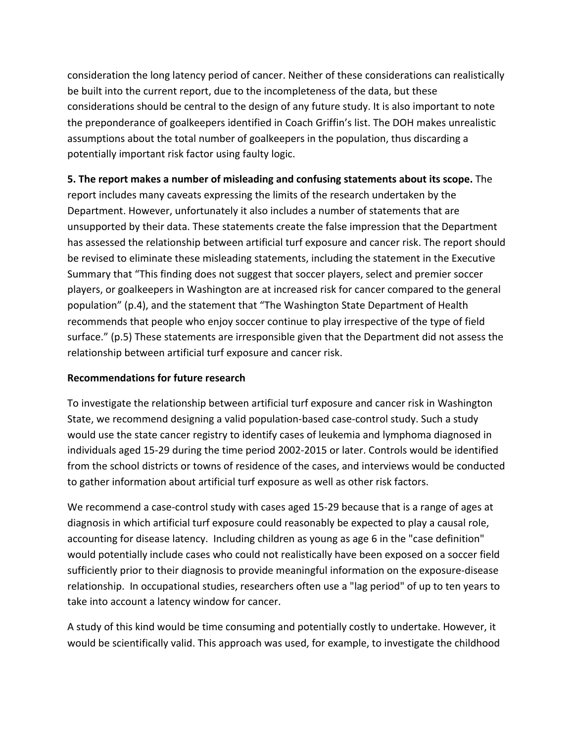consideration the long latency period of cancer. Neither of these considerations can realistically be built into the current report, due to the incompleteness of the data, but these considerations should be central to the design of any future study. It is also important to note the preponderance of goalkeepers identified in Coach Griffin's list. The DOH makes unrealistic assumptions about the total number of goalkeepers in the population, thus discarding a potentially important risk factor using faulty logic.

#### **5.** The report makes a number of misleading and confusing statements about its scope. The

report includes many caveats expressing the limits of the research undertaken by the Department. However, unfortunately it also includes a number of statements that are unsupported by their data. These statements create the false impression that the Department has assessed the relationship between artificial turf exposure and cancer risk. The report should be revised to eliminate these misleading statements, including the statement in the Executive Summary that "This finding does not suggest that soccer players, select and premier soccer players, or goalkeepers in Washington are at increased risk for cancer compared to the general population" (p.4), and the statement that "The Washington State Department of Health recommends that people who enjoy soccer continue to play irrespective of the type of field surface." (p.5) These statements are irresponsible given that the Department did not assess the relationship between artificial turf exposure and cancer risk.

#### **Recommendations for future research**

To investigate the relationship between artificial turf exposure and cancer risk in Washington State, we recommend designing a valid population-based case-control study. Such a study would use the state cancer registry to identify cases of leukemia and lymphoma diagnosed in individuals aged 15-29 during the time period 2002-2015 or later. Controls would be identified from the school districts or towns of residence of the cases, and interviews would be conducted to gather information about artificial turf exposure as well as other risk factors.

We recommend a case-control study with cases aged 15-29 because that is a range of ages at diagnosis in which artificial turf exposure could reasonably be expected to play a causal role, accounting for disease latency. Including children as young as age 6 in the "case definition" would potentially include cases who could not realistically have been exposed on a soccer field sufficiently prior to their diagnosis to provide meaningful information on the exposure-disease relationship. In occupational studies, researchers often use a "lag period" of up to ten years to take into account a latency window for cancer.

A study of this kind would be time consuming and potentially costly to undertake. However, it would be scientifically valid. This approach was used, for example, to investigate the childhood